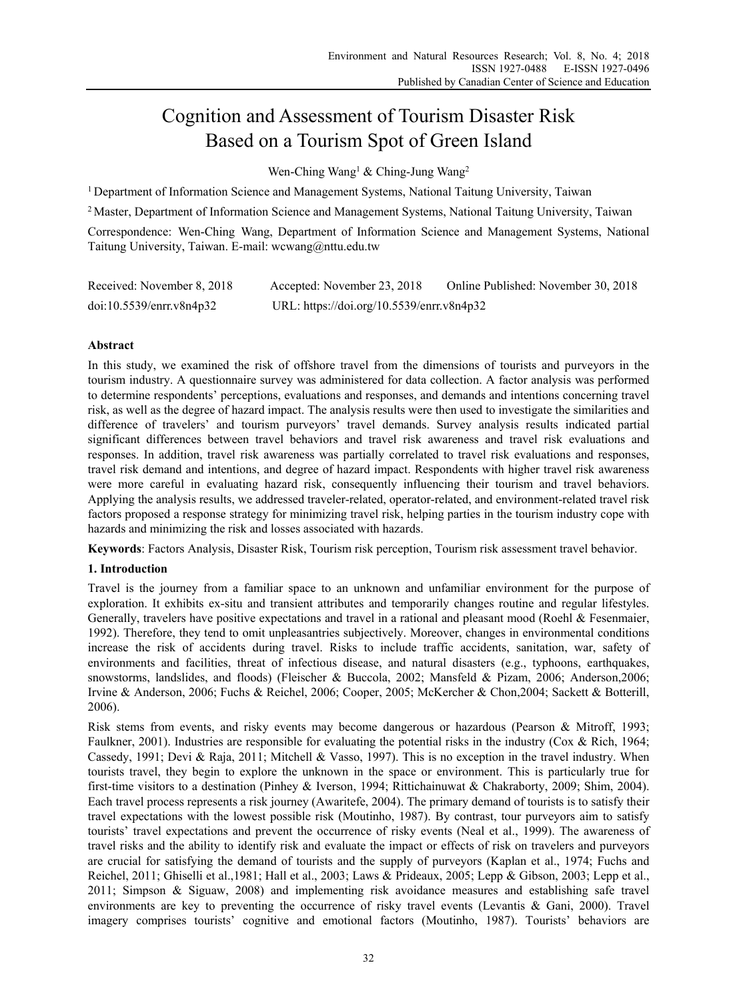# Cognition and Assessment of Tourism Disaster Risk Based on a Tourism Spot of Green Island

Wen-Ching Wang<sup>1</sup> & Ching-Jung Wang<sup>2</sup>

<sup>1</sup> Department of Information Science and Management Systems, National Taitung University, Taiwan

<sup>2</sup> Master, Department of Information Science and Management Systems, National Taitung University, Taiwan

Correspondence: Wen-Ching Wang, Department of Information Science and Management Systems, National Taitung University, Taiwan. E-mail: wcwang@nttu.edu.tw

| Received: November 8, 2018 | Accepted: November 23, 2018               | Online Published: November 30, 2018 |
|----------------------------|-------------------------------------------|-------------------------------------|
| doi:10.5539/enrr.v8n4p32   | URL: https://doi.org/10.5539/enrr.v8n4p32 |                                     |

# **Abstract**

In this study, we examined the risk of offshore travel from the dimensions of tourists and purveyors in the tourism industry. A questionnaire survey was administered for data collection. A factor analysis was performed to determine respondents' perceptions, evaluations and responses, and demands and intentions concerning travel risk, as well as the degree of hazard impact. The analysis results were then used to investigate the similarities and difference of travelers' and tourism purveyors' travel demands. Survey analysis results indicated partial significant differences between travel behaviors and travel risk awareness and travel risk evaluations and responses. In addition, travel risk awareness was partially correlated to travel risk evaluations and responses, travel risk demand and intentions, and degree of hazard impact. Respondents with higher travel risk awareness were more careful in evaluating hazard risk, consequently influencing their tourism and travel behaviors. Applying the analysis results, we addressed traveler-related, operator-related, and environment-related travel risk factors proposed a response strategy for minimizing travel risk, helping parties in the tourism industry cope with hazards and minimizing the risk and losses associated with hazards.

**Keywords**: Factors Analysis, Disaster Risk, Tourism risk perception, Tourism risk assessment travel behavior.

# **1. Introduction**

Travel is the journey from a familiar space to an unknown and unfamiliar environment for the purpose of exploration. It exhibits ex-situ and transient attributes and temporarily changes routine and regular lifestyles. Generally, travelers have positive expectations and travel in a rational and pleasant mood (Roehl & Fesenmaier, 1992). Therefore, they tend to omit unpleasantries subjectively. Moreover, changes in environmental conditions increase the risk of accidents during travel. Risks to include traffic accidents, sanitation, war, safety of environments and facilities, threat of infectious disease, and natural disasters (e.g., typhoons, earthquakes, snowstorms, landslides, and floods) (Fleischer & Buccola, 2002; Mansfeld & Pizam, 2006; Anderson,2006; Irvine & Anderson, 2006; Fuchs & Reichel, 2006; Cooper, 2005; McKercher & Chon,2004; Sackett & Botterill, 2006).

Risk stems from events, and risky events may become dangerous or hazardous (Pearson & Mitroff, 1993; Faulkner, 2001). Industries are responsible for evaluating the potential risks in the industry (Cox & Rich, 1964; Cassedy, 1991; Devi & Raja, 2011; Mitchell & Vasso, 1997). This is no exception in the travel industry. When tourists travel, they begin to explore the unknown in the space or environment. This is particularly true for first-time visitors to a destination (Pinhey & Iverson, 1994; Rittichainuwat & Chakraborty, 2009; Shim, 2004). Each travel process represents a risk journey (Awaritefe, 2004). The primary demand of tourists is to satisfy their travel expectations with the lowest possible risk (Moutinho, 1987). By contrast, tour purveyors aim to satisfy tourists' travel expectations and prevent the occurrence of risky events (Neal et al., 1999). The awareness of travel risks and the ability to identify risk and evaluate the impact or effects of risk on travelers and purveyors are crucial for satisfying the demand of tourists and the supply of purveyors (Kaplan et al., 1974; Fuchs and Reichel, 2011; Ghiselli et al.,1981; Hall et al., 2003; Laws & Prideaux, 2005; Lepp & Gibson, 2003; Lepp et al., 2011; Simpson & Siguaw, 2008) and implementing risk avoidance measures and establishing safe travel environments are key to preventing the occurrence of risky travel events (Levantis & Gani, 2000). Travel imagery comprises tourists' cognitive and emotional factors (Moutinho, 1987). Tourists' behaviors are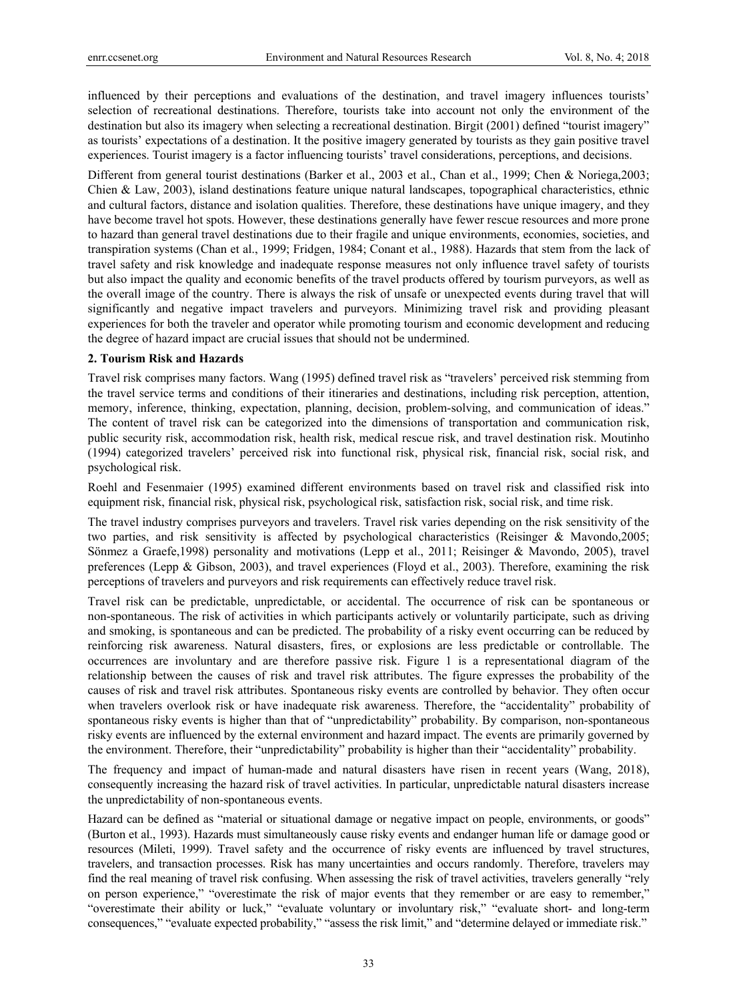influenced by their perceptions and evaluations of the destination, and travel imagery influences tourists' selection of recreational destinations. Therefore, tourists take into account not only the environment of the destination but also its imagery when selecting a recreational destination. Birgit (2001) defined "tourist imagery" as tourists' expectations of a destination. It the positive imagery generated by tourists as they gain positive travel experiences. Tourist imagery is a factor influencing tourists' travel considerations, perceptions, and decisions.

Different from general tourist destinations (Barker et al., 2003 et al., Chan et al., 1999; Chen & Noriega, 2003; Chien & Law, 2003), island destinations feature unique natural landscapes, topographical characteristics, ethnic and cultural factors, distance and isolation qualities. Therefore, these destinations have unique imagery, and they have become travel hot spots. However, these destinations generally have fewer rescue resources and more prone to hazard than general travel destinations due to their fragile and unique environments, economies, societies, and transpiration systems (Chan et al., 1999; Fridgen, 1984; Conant et al., 1988). Hazards that stem from the lack of travel safety and risk knowledge and inadequate response measures not only influence travel safety of tourists but also impact the quality and economic benefits of the travel products offered by tourism purveyors, as well as the overall image of the country. There is always the risk of unsafe or unexpected events during travel that will significantly and negative impact travelers and purveyors. Minimizing travel risk and providing pleasant experiences for both the traveler and operator while promoting tourism and economic development and reducing the degree of hazard impact are crucial issues that should not be undermined.

# **2. Tourism Risk and Hazards**

Travel risk comprises many factors. Wang (1995) defined travel risk as "travelers' perceived risk stemming from the travel service terms and conditions of their itineraries and destinations, including risk perception, attention, memory, inference, thinking, expectation, planning, decision, problem-solving, and communication of ideas." The content of travel risk can be categorized into the dimensions of transportation and communication risk, public security risk, accommodation risk, health risk, medical rescue risk, and travel destination risk. Moutinho (1994) categorized travelers' perceived risk into functional risk, physical risk, financial risk, social risk, and psychological risk.

Roehl and Fesenmaier (1995) examined different environments based on travel risk and classified risk into equipment risk, financial risk, physical risk, psychological risk, satisfaction risk, social risk, and time risk.

The travel industry comprises purveyors and travelers. Travel risk varies depending on the risk sensitivity of the two parties, and risk sensitivity is affected by psychological characteristics (Reisinger & Mavondo,2005; Sönmez a Graefe,1998) personality and motivations (Lepp et al., 2011; Reisinger & Mavondo, 2005), travel preferences (Lepp & Gibson, 2003), and travel experiences (Floyd et al., 2003). Therefore, examining the risk perceptions of travelers and purveyors and risk requirements can effectively reduce travel risk.

Travel risk can be predictable, unpredictable, or accidental. The occurrence of risk can be spontaneous or non-spontaneous. The risk of activities in which participants actively or voluntarily participate, such as driving and smoking, is spontaneous and can be predicted. The probability of a risky event occurring can be reduced by reinforcing risk awareness. Natural disasters, fires, or explosions are less predictable or controllable. The occurrences are involuntary and are therefore passive risk. Figure 1 is a representational diagram of the relationship between the causes of risk and travel risk attributes. The figure expresses the probability of the causes of risk and travel risk attributes. Spontaneous risky events are controlled by behavior. They often occur when travelers overlook risk or have inadequate risk awareness. Therefore, the "accidentality" probability of spontaneous risky events is higher than that of "unpredictability" probability. By comparison, non-spontaneous risky events are influenced by the external environment and hazard impact. The events are primarily governed by the environment. Therefore, their "unpredictability" probability is higher than their "accidentality" probability.

The frequency and impact of human-made and natural disasters have risen in recent years (Wang, 2018), consequently increasing the hazard risk of travel activities. In particular, unpredictable natural disasters increase the unpredictability of non-spontaneous events.

Hazard can be defined as "material or situational damage or negative impact on people, environments, or goods" (Burton et al., 1993). Hazards must simultaneously cause risky events and endanger human life or damage good or resources (Mileti, 1999). Travel safety and the occurrence of risky events are influenced by travel structures, travelers, and transaction processes. Risk has many uncertainties and occurs randomly. Therefore, travelers may find the real meaning of travel risk confusing. When assessing the risk of travel activities, travelers generally "rely on person experience," "overestimate the risk of major events that they remember or are easy to remember," "overestimate their ability or luck," "evaluate voluntary or involuntary risk," "evaluate short- and long-term consequences," "evaluate expected probability," "assess the risk limit," and "determine delayed or immediate risk."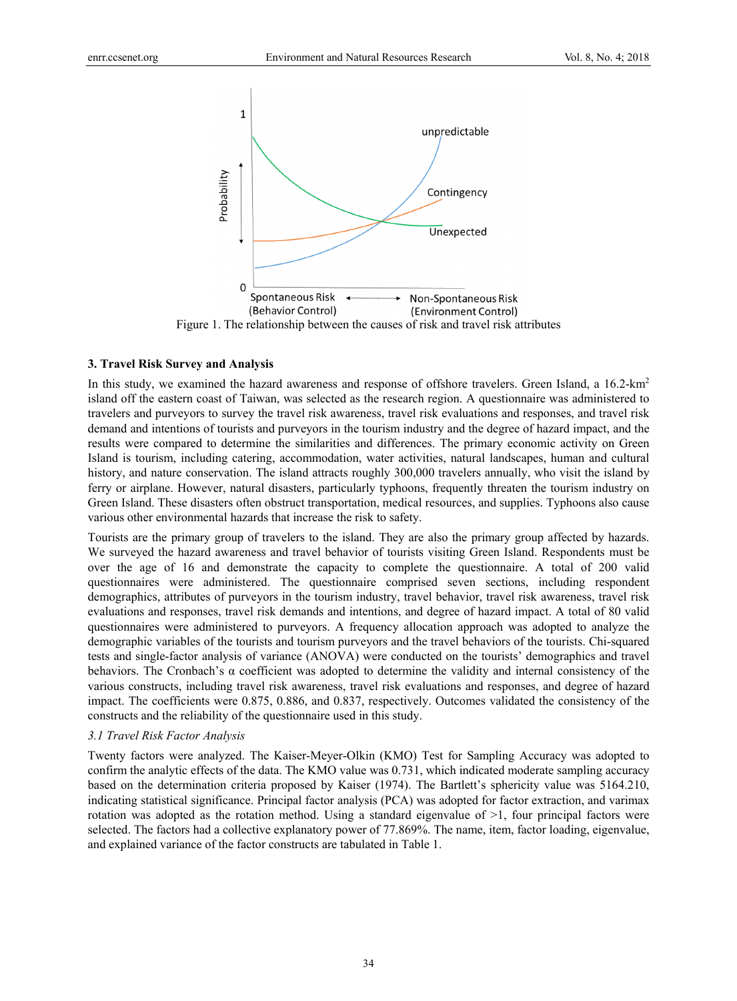

## **3. Travel Risk Survey and Analysis**

In this study, we examined the hazard awareness and response of offshore travelers. Green Island, a 16.2-km<sup>2</sup> island off the eastern coast of Taiwan, was selected as the research region. A questionnaire was administered to travelers and purveyors to survey the travel risk awareness, travel risk evaluations and responses, and travel risk demand and intentions of tourists and purveyors in the tourism industry and the degree of hazard impact, and the results were compared to determine the similarities and differences. The primary economic activity on Green Island is tourism, including catering, accommodation, water activities, natural landscapes, human and cultural history, and nature conservation. The island attracts roughly 300,000 travelers annually, who visit the island by ferry or airplane. However, natural disasters, particularly typhoons, frequently threaten the tourism industry on Green Island. These disasters often obstruct transportation, medical resources, and supplies. Typhoons also cause various other environmental hazards that increase the risk to safety.

Tourists are the primary group of travelers to the island. They are also the primary group affected by hazards. We surveyed the hazard awareness and travel behavior of tourists visiting Green Island. Respondents must be over the age of 16 and demonstrate the capacity to complete the questionnaire. A total of 200 valid questionnaires were administered. The questionnaire comprised seven sections, including respondent demographics, attributes of purveyors in the tourism industry, travel behavior, travel risk awareness, travel risk evaluations and responses, travel risk demands and intentions, and degree of hazard impact. A total of 80 valid questionnaires were administered to purveyors. A frequency allocation approach was adopted to analyze the demographic variables of the tourists and tourism purveyors and the travel behaviors of the tourists. Chi-squared tests and single-factor analysis of variance (ANOVA) were conducted on the tourists' demographics and travel behaviors. The Cronbach's  $\alpha$  coefficient was adopted to determine the validity and internal consistency of the various constructs, including travel risk awareness, travel risk evaluations and responses, and degree of hazard impact. The coefficients were 0.875, 0.886, and 0.837, respectively. Outcomes validated the consistency of the constructs and the reliability of the questionnaire used in this study.

## *3.1 Travel Risk Factor Analysis*

Twenty factors were analyzed. The Kaiser-Meyer-Olkin (KMO) Test for Sampling Accuracy was adopted to confirm the analytic effects of the data. The KMO value was 0.731, which indicated moderate sampling accuracy based on the determination criteria proposed by Kaiser (1974). The Bartlett's sphericity value was 5164.210, indicating statistical significance. Principal factor analysis (PCA) was adopted for factor extraction, and varimax rotation was adopted as the rotation method. Using a standard eigenvalue of  $\geq 1$ , four principal factors were selected. The factors had a collective explanatory power of 77.869%. The name, item, factor loading, eigenvalue, and explained variance of the factor constructs are tabulated in Table 1.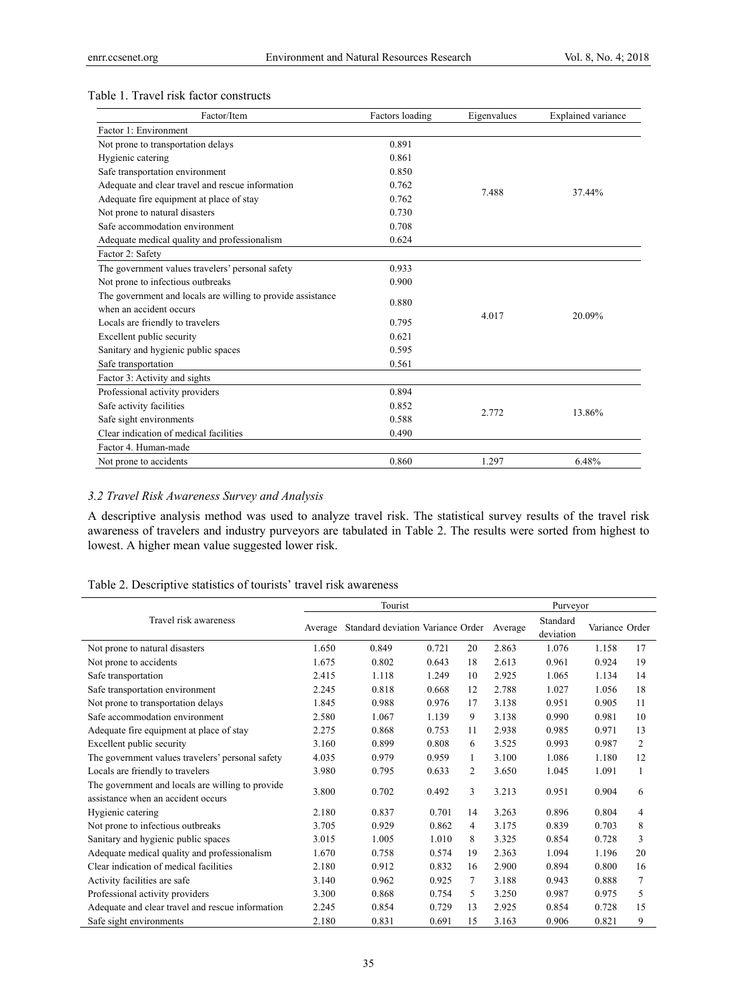## Table 1. Travel risk factor constructs

| Factor/Item                                                 | Factors loading | Eigenvalues | Explained variance |
|-------------------------------------------------------------|-----------------|-------------|--------------------|
| Factor 1: Environment                                       |                 |             |                    |
| Not prone to transportation delays                          | 0.891           |             |                    |
| Hygienic catering                                           | 0.861           |             |                    |
| Safe transportation environment                             | 0.850           |             |                    |
| Adequate and clear travel and rescue information            | 0.762           | 7.488       | 37.44%             |
| Adequate fire equipment at place of stay                    | 0.762           |             |                    |
| Not prone to natural disasters                              | 0.730           |             |                    |
| Safe accommodation environment                              | 0.708           |             |                    |
| Adequate medical quality and professionalism                | 0.624           |             |                    |
| Factor 2: Safety                                            |                 |             |                    |
| The government values travelers' personal safety            | 0.933           |             |                    |
| Not prone to infectious outbreaks                           | 0.900           |             |                    |
| The government and locals are willing to provide assistance | 0.880           |             |                    |
| when an accident occurs                                     |                 | 4.017       | 20.09%             |
| Locals are friendly to travelers                            | 0.795           |             |                    |
| Excellent public security                                   | 0.621           |             |                    |
| Sanitary and hygienic public spaces                         | 0.595           |             |                    |
| Safe transportation                                         | 0.561           |             |                    |
| Factor 3: Activity and sights                               |                 |             |                    |
| Professional activity providers                             | 0.894           |             |                    |
| Safe activity facilities                                    | 0.852           | 2.772       |                    |
| Safe sight environments                                     | 0.588           |             | 13.86%             |
| Clear indication of medical facilities                      | 0.490           |             |                    |
| Factor 4. Human-made                                        |                 |             |                    |
| Not prone to accidents                                      | 0.860           | 1.297       | 6.48%              |

# *3.2 Travel Risk Awareness Survey and Analysis*

A descriptive analysis method was used to analyze travel risk. The statistical survey results of the travel risk awareness of travelers and industry purveyors are tabulated in Table 2. The results were sorted from highest to lowest. A higher mean value suggested lower risk.

| Table 2. Descriptive statistics of tourists' travel risk awareness |
|--------------------------------------------------------------------|
|--------------------------------------------------------------------|

|                                                                                        |         | Tourist                           |       |    |         | Purveyor              |                |                |
|----------------------------------------------------------------------------------------|---------|-----------------------------------|-------|----|---------|-----------------------|----------------|----------------|
| Travel risk awareness                                                                  | Average | Standard deviation Variance Order |       |    | Average | Standard<br>deviation | Variance Order |                |
| Not prone to natural disasters                                                         | 1.650   | 0.849                             | 0.721 | 20 | 2.863   | 1.076                 | 1.158          | 17             |
| Not prone to accidents                                                                 | 1.675   | 0.802                             | 0.643 | 18 | 2.613   | 0.961                 | 0.924          | 19             |
| Safe transportation                                                                    | 2.415   | 1.118                             | 1.249 | 10 | 2.925   | 1.065                 | 1.134          | 14             |
| Safe transportation environment                                                        | 2.245   | 0.818                             | 0.668 | 12 | 2.788   | 1.027                 | 1.056          | 18             |
| Not prone to transportation delays                                                     | 1.845   | 0.988                             | 0.976 | 17 | 3.138   | 0.951                 | 0.905          | 11             |
| Safe accommodation environment                                                         | 2.580   | 1.067                             | 1.139 | 9  | 3.138   | 0.990                 | 0.981          | 10             |
| Adequate fire equipment at place of stay                                               | 2.275   | 0.868                             | 0.753 | 11 | 2.938   | 0.985                 | 0.971          | 13             |
| Excellent public security                                                              | 3.160   | 0.899                             | 0.808 | 6  | 3.525   | 0.993                 | 0.987          | $\overline{c}$ |
| The government values travelers' personal safety                                       | 4.035   | 0.979                             | 0.959 | 1  | 3.100   | 1.086                 | 1.180          | 12             |
| Locals are friendly to travelers                                                       | 3.980   | 0.795                             | 0.633 | 2  | 3.650   | 1.045                 | 1.091          | 1              |
| The government and locals are willing to provide<br>assistance when an accident occurs | 3.800   | 0.702                             | 0.492 | 3  | 3.213   | 0.951                 | 0.904          | 6              |
| Hygienic catering                                                                      | 2.180   | 0.837                             | 0.701 | 14 | 3.263   | 0.896                 | 0.804          | 4              |
| Not prone to infectious outbreaks                                                      | 3.705   | 0.929                             | 0.862 | 4  | 3.175   | 0.839                 | 0.703          | 8              |
| Sanitary and hygienic public spaces                                                    | 3.015   | 1.005                             | 1.010 | 8  | 3.325   | 0.854                 | 0.728          | 3              |
| Adequate medical quality and professionalism                                           | 1.670   | 0.758                             | 0.574 | 19 | 2.363   | 1.094                 | 1.196          | 20             |
| Clear indication of medical facilities                                                 | 2.180   | 0.912                             | 0.832 | 16 | 2.900   | 0.894                 | 0.800          | 16             |
| Activity facilities are safe                                                           | 3.140   | 0.962                             | 0.925 | 7  | 3.188   | 0.943                 | 0.888          | 7              |
| Professional activity providers                                                        | 3.300   | 0.868                             | 0.754 | 5  | 3.250   | 0.987                 | 0.975          | 5              |
| Adequate and clear travel and rescue information                                       | 2.245   | 0.854                             | 0.729 | 13 | 2.925   | 0.854                 | 0.728          | 15             |
| Safe sight environments                                                                | 2.180   | 0.831                             | 0.691 | 15 | 3.163   | 0.906                 | 0.821          | 9              |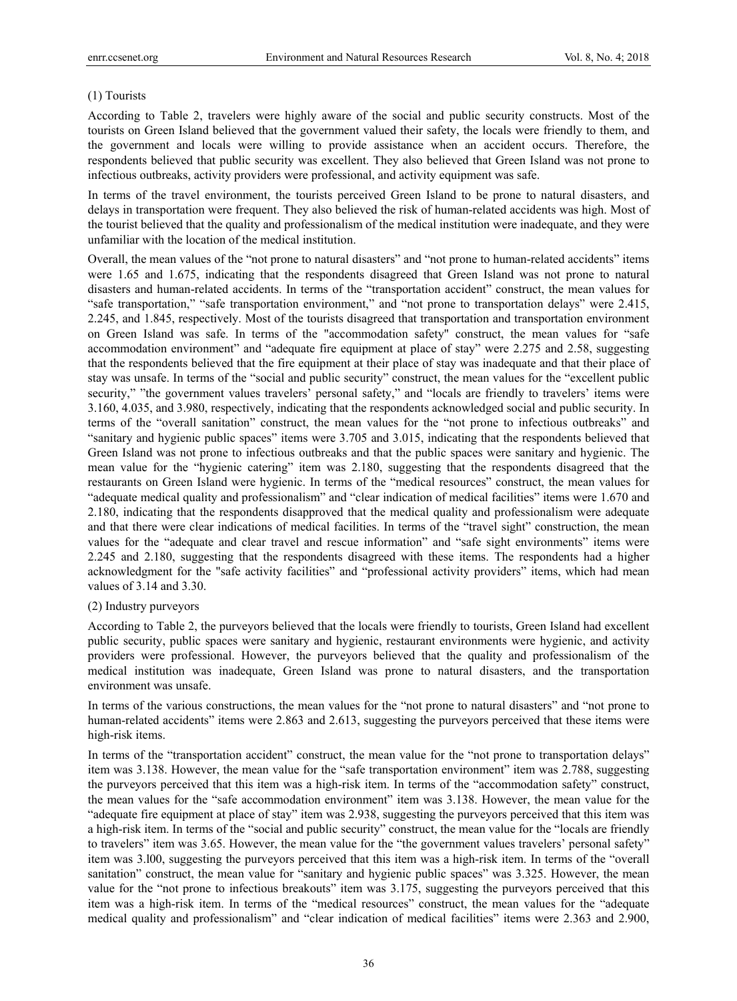# (1) Tourists

According to Table 2, travelers were highly aware of the social and public security constructs. Most of the tourists on Green Island believed that the government valued their safety, the locals were friendly to them, and the government and locals were willing to provide assistance when an accident occurs. Therefore, the respondents believed that public security was excellent. They also believed that Green Island was not prone to infectious outbreaks, activity providers were professional, and activity equipment was safe.

In terms of the travel environment, the tourists perceived Green Island to be prone to natural disasters, and delays in transportation were frequent. They also believed the risk of human-related accidents was high. Most of the tourist believed that the quality and professionalism of the medical institution were inadequate, and they were unfamiliar with the location of the medical institution.

Overall, the mean values of the "not prone to natural disasters" and "not prone to human-related accidents" items were 1.65 and 1.675, indicating that the respondents disagreed that Green Island was not prone to natural disasters and human-related accidents. In terms of the "transportation accident" construct, the mean values for "safe transportation," "safe transportation environment," and "not prone to transportation delays" were 2.415, 2.245, and 1.845, respectively. Most of the tourists disagreed that transportation and transportation environment on Green Island was safe. In terms of the "accommodation safety" construct, the mean values for "safe accommodation environment" and "adequate fire equipment at place of stay" were 2.275 and 2.58, suggesting that the respondents believed that the fire equipment at their place of stay was inadequate and that their place of stay was unsafe. In terms of the "social and public security" construct, the mean values for the "excellent public security," "the government values travelers' personal safety," and "locals are friendly to travelers' items were 3.160, 4.035, and 3.980, respectively, indicating that the respondents acknowledged social and public security. In terms of the "overall sanitation" construct, the mean values for the "not prone to infectious outbreaks" and "sanitary and hygienic public spaces" items were 3.705 and 3.015, indicating that the respondents believed that Green Island was not prone to infectious outbreaks and that the public spaces were sanitary and hygienic. The mean value for the "hygienic catering" item was 2.180, suggesting that the respondents disagreed that the restaurants on Green Island were hygienic. In terms of the "medical resources" construct, the mean values for "adequate medical quality and professionalism" and "clear indication of medical facilities" items were 1.670 and 2.180, indicating that the respondents disapproved that the medical quality and professionalism were adequate and that there were clear indications of medical facilities. In terms of the "travel sight" construction, the mean values for the "adequate and clear travel and rescue information" and "safe sight environments" items were 2.245 and 2.180, suggesting that the respondents disagreed with these items. The respondents had a higher acknowledgment for the "safe activity facilities" and "professional activity providers" items, which had mean values of 3.14 and 3.30.

#### (2) Industry purveyors

According to Table 2, the purveyors believed that the locals were friendly to tourists, Green Island had excellent public security, public spaces were sanitary and hygienic, restaurant environments were hygienic, and activity providers were professional. However, the purveyors believed that the quality and professionalism of the medical institution was inadequate, Green Island was prone to natural disasters, and the transportation environment was unsafe.

In terms of the various constructions, the mean values for the "not prone to natural disasters" and "not prone to human-related accidents" items were 2.863 and 2.613, suggesting the purveyors perceived that these items were high-risk items.

In terms of the "transportation accident" construct, the mean value for the "not prone to transportation delays" item was 3.138. However, the mean value for the "safe transportation environment" item was 2.788, suggesting the purveyors perceived that this item was a high-risk item. In terms of the "accommodation safety" construct, the mean values for the "safe accommodation environment" item was 3.138. However, the mean value for the "adequate fire equipment at place of stay" item was 2.938, suggesting the purveyors perceived that this item was a high-risk item. In terms of the "social and public security" construct, the mean value for the "locals are friendly to travelers" item was 3.65. However, the mean value for the "the government values travelers' personal safety" item was 3.l00, suggesting the purveyors perceived that this item was a high-risk item. In terms of the "overall sanitation" construct, the mean value for "sanitary and hygienic public spaces" was 3.325. However, the mean value for the "not prone to infectious breakouts" item was 3.175, suggesting the purveyors perceived that this item was a high-risk item. In terms of the "medical resources" construct, the mean values for the "adequate medical quality and professionalism" and "clear indication of medical facilities" items were 2.363 and 2.900,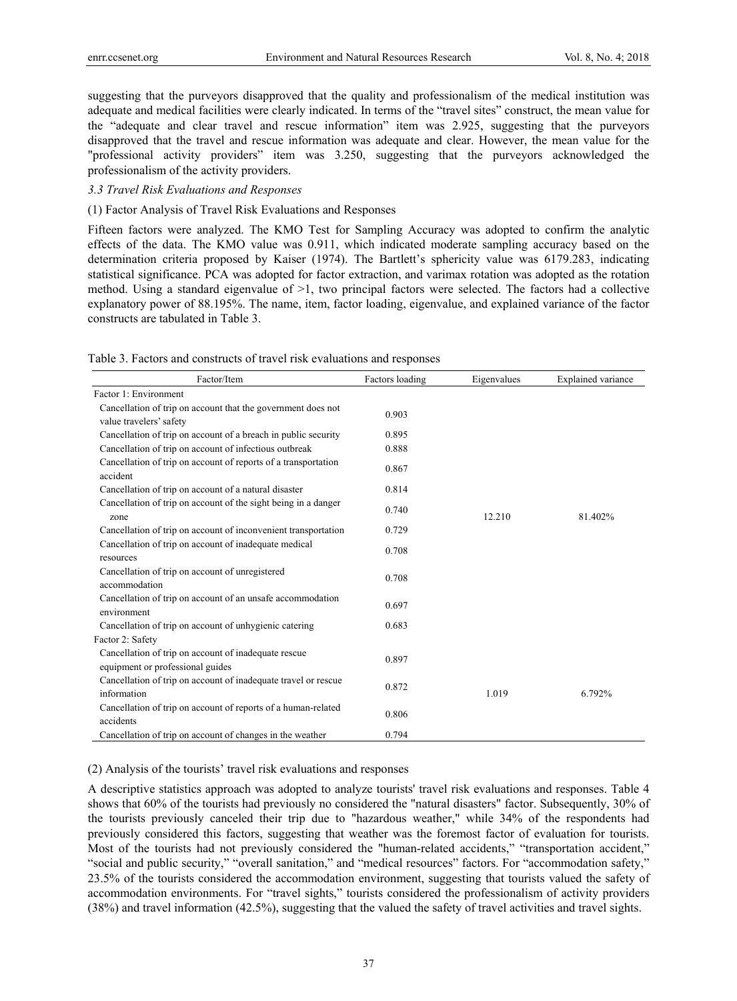suggesting that the purveyors disapproved that the quality and professionalism of the medical institution was adequate and medical facilities were clearly indicated. In terms of the "travel sites" construct, the mean value for the "adequate and clear travel and rescue information" item was 2.925, suggesting that the purveyors disapproved that the travel and rescue information was adequate and clear. However, the mean value for the "professional activity providers" item was 3.250, suggesting that the purveyors acknowledged the professionalism of the activity providers.

## *3.3 Travel Risk Evaluations and Responses*

## (1) Factor Analysis of Travel Risk Evaluations and Responses

Fifteen factors were analyzed. The KMO Test for Sampling Accuracy was adopted to confirm the analytic effects of the data. The KMO value was 0.911, which indicated moderate sampling accuracy based on the determination criteria proposed by Kaiser (1974). The Bartlett's sphericity value was 6179.283, indicating statistical significance. PCA was adopted for factor extraction, and varimax rotation was adopted as the rotation method. Using a standard eigenvalue of >1, two principal factors were selected. The factors had a collective explanatory power of 88.195%. The name, item, factor loading, eigenvalue, and explained variance of the factor constructs are tabulated in Table 3.

| Factor/Item                                                                              | Factors loading | Eigenvalues | <b>Explained</b> variance |
|------------------------------------------------------------------------------------------|-----------------|-------------|---------------------------|
| Factor 1: Environment                                                                    |                 |             |                           |
| Cancellation of trip on account that the government does not<br>value travelers' safety  | 0.903           |             |                           |
| Cancellation of trip on account of a breach in public security                           | 0.895           |             |                           |
| Cancellation of trip on account of infectious outbreak                                   | 0.888           |             |                           |
| Cancellation of trip on account of reports of a transportation<br>accident               | 0.867           |             |                           |
| Cancellation of trip on account of a natural disaster                                    | 0.814           |             |                           |
| Cancellation of trip on account of the sight being in a danger<br>zone                   | 0.740           | 12.210      | 81.402%                   |
| Cancellation of trip on account of inconvenient transportation                           | 0.729           |             |                           |
| Cancellation of trip on account of inadequate medical<br>resources                       | 0.708           |             |                           |
| Cancellation of trip on account of unregistered<br>accommodation                         | 0.708           |             |                           |
| Cancellation of trip on account of an unsafe accommodation<br>environment                | 0.697           |             |                           |
| Cancellation of trip on account of unhygienic catering                                   | 0.683           |             |                           |
| Factor 2: Safety                                                                         |                 |             |                           |
| Cancellation of trip on account of inadequate rescue<br>equipment or professional guides | 0.897           |             |                           |
| Cancellation of trip on account of inadequate travel or rescue<br>information            | 0.872           | 1.019       | 6.792%                    |
| Cancellation of trip on account of reports of a human-related<br>accidents               | 0.806           |             |                           |
| Cancellation of trip on account of changes in the weather                                | 0.794           |             |                           |

Table 3. Factors and constructs of travel risk evaluations and responses

(2) Analysis of the tourists' travel risk evaluations and responses

A descriptive statistics approach was adopted to analyze tourists' travel risk evaluations and responses. Table 4 shows that 60% of the tourists had previously no considered the "natural disasters" factor. Subsequently, 30% of the tourists previously canceled their trip due to "hazardous weather," while 34% of the respondents had previously considered this factors, suggesting that weather was the foremost factor of evaluation for tourists. Most of the tourists had not previously considered the "human-related accidents," "transportation accident," "social and public security," "overall sanitation," and "medical resources" factors. For "accommodation safety," 23.5% of the tourists considered the accommodation environment, suggesting that tourists valued the safety of accommodation environments. For "travel sights," tourists considered the professionalism of activity providers (38%) and travel information (42.5%), suggesting that the valued the safety of travel activities and travel sights.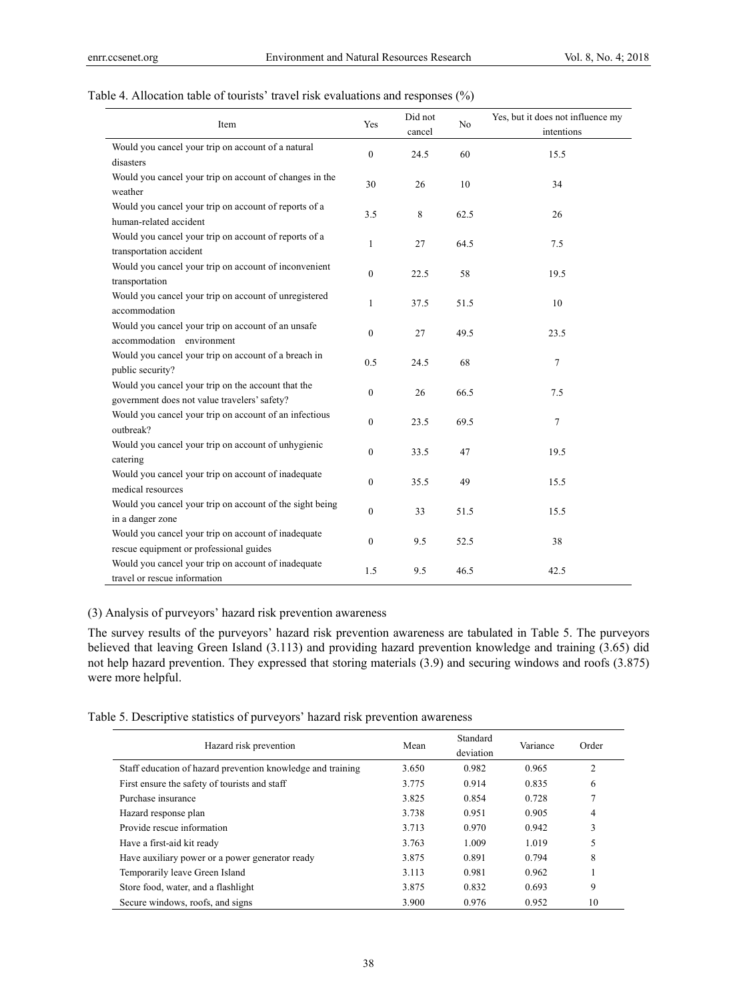| Table 4. Allocation table of tourists' travel risk evaluations and responses (%) |  |  |  |
|----------------------------------------------------------------------------------|--|--|--|
|----------------------------------------------------------------------------------|--|--|--|

| Item                                                                                               | Yes              | Did not<br>cancel | No   | Yes, but it does not influence my<br>intentions |
|----------------------------------------------------------------------------------------------------|------------------|-------------------|------|-------------------------------------------------|
| Would you cancel your trip on account of a natural<br>disasters                                    | $\Omega$         | 24.5              | 60   | 15.5                                            |
| Would you cancel your trip on account of changes in the<br>weather                                 | 30               | 26                | 10   | 34                                              |
| Would you cancel your trip on account of reports of a<br>human-related accident                    | 3.5              | 8                 | 62.5 | 26                                              |
| Would you cancel your trip on account of reports of a<br>transportation accident                   | $\mathbf{1}$     | 27                | 64.5 | 7.5                                             |
| Would you cancel your trip on account of inconvenient<br>transportation                            | $\mathbf{0}$     | 22.5              | 58   | 19.5                                            |
| Would you cancel your trip on account of unregistered<br>accommodation                             | $\mathbf{1}$     | 37.5              | 51.5 | 10                                              |
| Would you cancel your trip on account of an unsafe<br>accommodation environment                    | $\Omega$         | 27                | 49.5 | 23.5                                            |
| Would you cancel your trip on account of a breach in<br>public security?                           | 0.5              | 24.5              | 68   | 7                                               |
| Would you cancel your trip on the account that the<br>government does not value travelers' safety? | $\mathbf{0}$     | 26                | 66.5 | 7.5                                             |
| Would you cancel your trip on account of an infectious<br>outbreak?                                | $\Omega$         | 23.5              | 69.5 | 7                                               |
| Would you cancel your trip on account of unhygienic<br>catering                                    | $\mathbf{0}$     | 33.5              | 47   | 19.5                                            |
| Would you cancel your trip on account of inadequate<br>medical resources                           | $\mathbf{0}$     | 35.5              | 49   | 15.5                                            |
| Would you cancel your trip on account of the sight being<br>in a danger zone                       | $\theta$         | 33                | 51.5 | 15.5                                            |
| Would you cancel your trip on account of inadequate<br>rescue equipment or professional guides     | $\boldsymbol{0}$ | 9.5               | 52.5 | 38                                              |
| Would you cancel your trip on account of inadequate<br>travel or rescue information                | 1.5              | 9.5               | 46.5 | 42.5                                            |

# (3) Analysis of purveyors' hazard risk prevention awareness

The survey results of the purveyors' hazard risk prevention awareness are tabulated in Table 5. The purveyors believed that leaving Green Island (3.113) and providing hazard prevention knowledge and training (3.65) did not help hazard prevention. They expressed that storing materials (3.9) and securing windows and roofs (3.875) were more helpful.

Table 5. Descriptive statistics of purveyors' hazard risk prevention awareness

| Hazard risk prevention                                      | Mean  | Standard<br>deviation | Variance | Order |
|-------------------------------------------------------------|-------|-----------------------|----------|-------|
| Staff education of hazard prevention knowledge and training | 3.650 | 0.982                 | 0.965    | 2     |
| First ensure the safety of tourists and staff               | 3.775 | 0.914                 | 0.835    | 6     |
| Purchase insurance                                          | 3.825 | 0.854                 | 0.728    | 7     |
| Hazard response plan                                        | 3.738 | 0.951                 | 0.905    | 4     |
| Provide rescue information                                  | 3.713 | 0.970                 | 0.942    | 3     |
| Have a first-aid kit ready                                  | 3.763 | 1.009                 | 1.019    | 5     |
| Have auxiliary power or a power generator ready             | 3.875 | 0.891                 | 0.794    | 8     |
| Temporarily leave Green Island                              | 3.113 | 0.981                 | 0.962    |       |
| Store food, water, and a flashlight                         | 3.875 | 0.832                 | 0.693    | 9     |
| Secure windows, roofs, and signs                            | 3.900 | 0.976                 | 0.952    | 10    |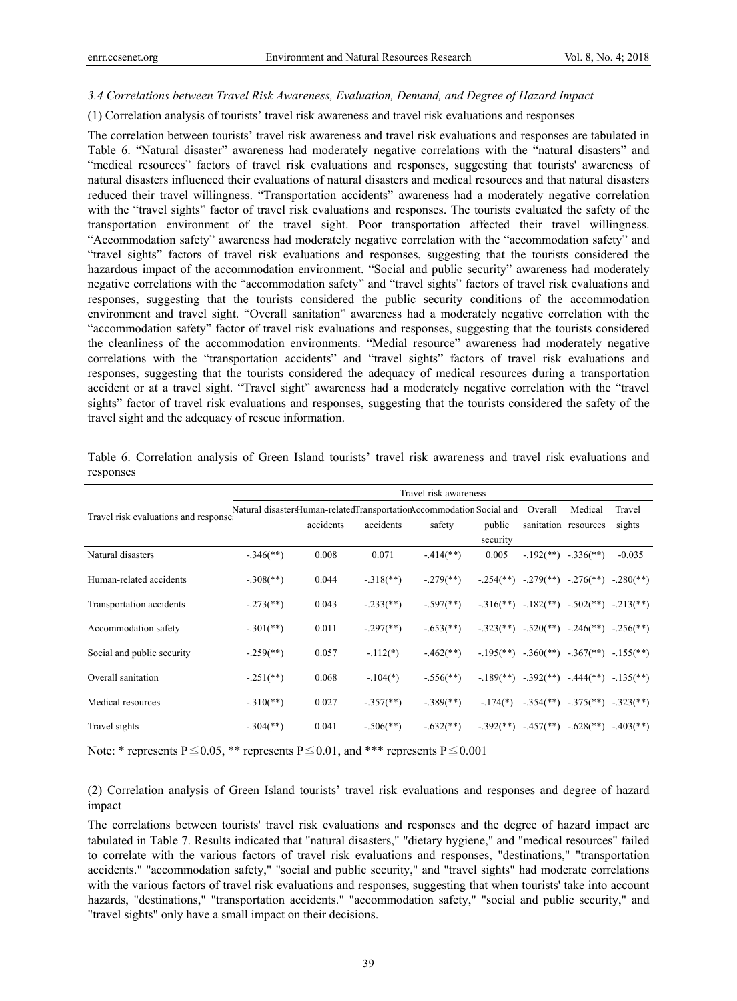#### *3.4 Correlations between Travel Risk Awareness, Evaluation, Demand, and Degree of Hazard Impact*

#### (1) Correlation analysis of tourists' travel risk awareness and travel risk evaluations and responses

The correlation between tourists' travel risk awareness and travel risk evaluations and responses are tabulated in Table 6. "Natural disaster" awareness had moderately negative correlations with the "natural disasters" and "medical resources" factors of travel risk evaluations and responses, suggesting that tourists' awareness of natural disasters influenced their evaluations of natural disasters and medical resources and that natural disasters reduced their travel willingness. "Transportation accidents" awareness had a moderately negative correlation with the "travel sights" factor of travel risk evaluations and responses. The tourists evaluated the safety of the transportation environment of the travel sight. Poor transportation affected their travel willingness. "Accommodation safety" awareness had moderately negative correlation with the "accommodation safety" and "travel sights" factors of travel risk evaluations and responses, suggesting that the tourists considered the hazardous impact of the accommodation environment. "Social and public security" awareness had moderately negative correlations with the "accommodation safety" and "travel sights" factors of travel risk evaluations and responses, suggesting that the tourists considered the public security conditions of the accommodation environment and travel sight. "Overall sanitation" awareness had a moderately negative correlation with the "accommodation safety" factor of travel risk evaluations and responses, suggesting that the tourists considered the cleanliness of the accommodation environments. "Medial resource" awareness had moderately negative correlations with the "transportation accidents" and "travel sights" factors of travel risk evaluations and responses, suggesting that the tourists considered the adequacy of medical resources during a transportation accident or at a travel sight. "Travel sight" awareness had a moderately negative correlation with the "travel sights" factor of travel risk evaluations and responses, suggesting that the tourists considered the safety of the travel sight and the adequacy of rescue information.

|                                       | Travel risk awareness     |                                                                      |                           |                         |              |                        |                                                         |          |  |
|---------------------------------------|---------------------------|----------------------------------------------------------------------|---------------------------|-------------------------|--------------|------------------------|---------------------------------------------------------|----------|--|
| Travel risk evaluations and response. |                           | Natural disastersHuman-relatedTransportationAccommodation Social and |                           |                         |              |                        | Medical                                                 | Travel   |  |
|                                       |                           | accidents                                                            | accidents                 | safety                  | public       |                        | sanitation resources                                    | sights   |  |
|                                       |                           |                                                                      |                           |                         | security     |                        |                                                         |          |  |
| Natural disasters                     | $-346$ <sup>**</sup> )    | 0.008                                                                | 0.071                     | $-414$ <sup>**</sup> )  | 0.005        | $-192$ <sup>**</sup> ) | $-.336$ <sup>(**)</sup> )                               | $-0.035$ |  |
| Human-related accidents               | $-.308$ <sup>(**)</sup> ) | 0.044                                                                | $-.318$ <sup>**</sup> )   | $-.279$ <sup>**</sup> ) |              |                        | $-.254(**)$ $-.279(**)$ $-.276(**)$ $-.280(**)$         |          |  |
| Transportation accidents              | $-.273$ <sup>**</sup> )   | 0.043                                                                | $-.233$ <sup>(**)</sup> ) | $-.597$ <sup>**</sup> ) |              |                        | $-316$ (**) $-182$ (**) $-502$ (**) $-213$ (**)         |          |  |
| Accommodation safety                  | $-.301$ (**)              | 0.011                                                                | $-.297$ <sup>**</sup> )   | $-.653$ <sup>**</sup> ) |              |                        | $-.323$ (**) $-.520$ (**) $-.246$ (**) $-.256$ (**)     |          |  |
| Social and public security            | $-.259$ <sup>**</sup> )   | 0.057                                                                | $-112(*)$                 | $-462$ <sup>**</sup> )  |              |                        | $-0.195$ (**) $-0.360$ (**) $-0.367$ (**) $-0.155$ (**) |          |  |
| Overall sanitation                    | $-.251$ (**)              | 0.068                                                                | $-.104(*)$                | $-.556$ <sup>**</sup> ) |              |                        | $-189$ (**) $-392$ (**) $-444$ (**) $-135$ (**)         |          |  |
| Medical resources                     | $-.310(**)$               | 0.027                                                                | $-.357$ <sup>(**)</sup> ) | $-389$ <sup>**</sup> )  | $-.174(*)$   |                        | $-354$ <sup>(**</sup> ) $-375$ (**) $-323$ (**)         |          |  |
| Travel sights                         | $-.304$ <sup>**</sup> )   | 0.041                                                                | $-.506$ <sup>(**)</sup> ) | $-.632$ <sup>**</sup> ) | $-.392$ (**) | $-457$ (**)            | $-.628$ (**) $-.403$ (**)                               |          |  |

Table 6. Correlation analysis of Green Island tourists' travel risk awareness and travel risk evaluations and responses

Note: \* represents P $\leq$  0.05, \*\* represents P $\leq$  0.01, and \*\*\* represents P $\leq$  0.001

(2) Correlation analysis of Green Island tourists' travel risk evaluations and responses and degree of hazard impact

The correlations between tourists' travel risk evaluations and responses and the degree of hazard impact are tabulated in Table 7. Results indicated that "natural disasters," "dietary hygiene," and "medical resources" failed to correlate with the various factors of travel risk evaluations and responses, "destinations," "transportation accidents." "accommodation safety," "social and public security," and "travel sights" had moderate correlations with the various factors of travel risk evaluations and responses, suggesting that when tourists' take into account hazards, "destinations," "transportation accidents." "accommodation safety," "social and public security," and "travel sights" only have a small impact on their decisions.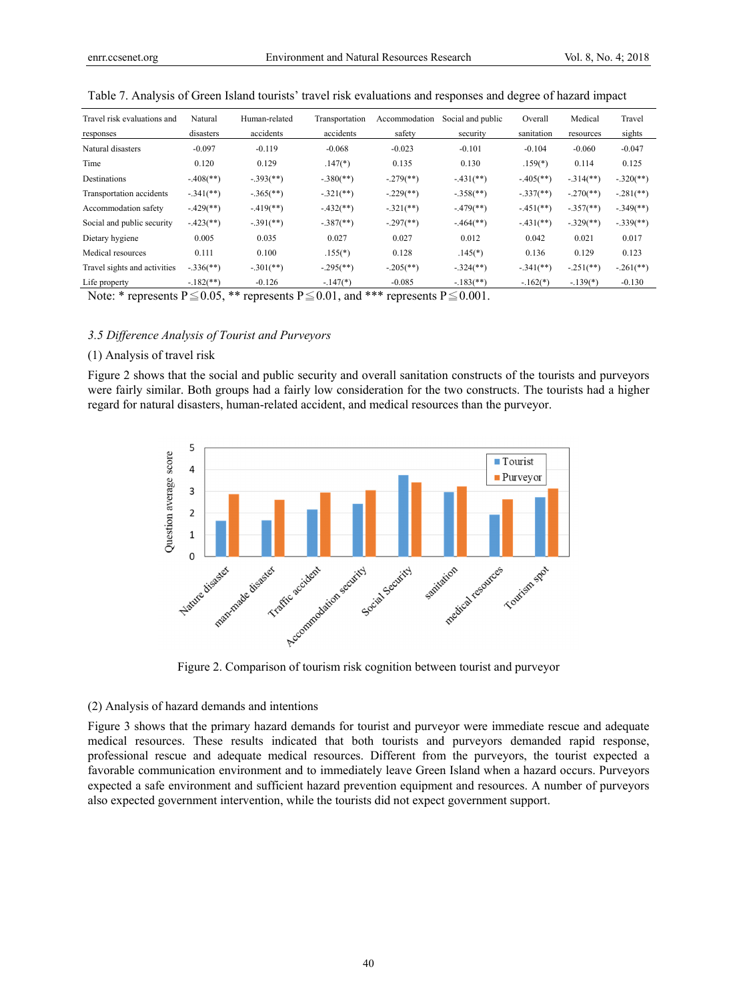| Travel risk evaluations and  | Natural                 | Human-related             | Transportation           | Accommodation             | Social and public        | Overall                  | Medical                  | Travel                  |
|------------------------------|-------------------------|---------------------------|--------------------------|---------------------------|--------------------------|--------------------------|--------------------------|-------------------------|
| responses                    | disasters               | accidents                 | accidents                | safety                    | security                 | sanitation               | resources                | sights                  |
| Natural disasters            | $-0.097$                | $-0.119$                  | $-0.068$                 | $-0.023$                  | $-0.101$                 | $-0.104$                 | $-0.060$                 | $-0.047$                |
| Time                         | 0.120                   | 0.129                     | $.147(*)$                | 0.135                     | 0.130                    | $.159(*)$                | 0.114                    | 0.125                   |
| Destinations                 | $-.408$ <sup>**</sup> ) | $-.393$ <sup>(**)</sup> ) | $-380$ <sup>(**)</sup> ) | $-.279$ <sup>**</sup> )   | $-431$ (**)              | $-405$ <sup>**</sup> )   | $-314$ <sup>**</sup> )   | $-.320$ <sup>**</sup> ) |
| Transportation accidents     | $-341$ (**)             | $-.365$ <sup>(**)</sup> ) | $-.321$ (**)             | $-.229$ <sup>(**)</sup> ) | $-358$ <sup>(**)</sup> ) | $-337$ <sup>(**)</sup> ) | $-.270$ (**)             | $-.281$ (**)            |
| Accommodation safety         | $-429$ <sup>**</sup> )  | $-419$ <sup>**</sup> )    | $-432$ <sup>**</sup> )   | $-321$ (**)               | $-479$ <sup>**</sup> )   | $-451$ <sup>**</sup> )   | $-357$ <sup>(**)</sup> ) | $-.349$ <sup>**</sup> ) |
| Social and public security   | $-423$ <sup>**</sup> )  | $-391$ <sup>(**)</sup>    | $-387$ <sup>**</sup> )   | $-.297$ <sup>(**)</sup> ) | $-464$ <sup>**</sup> )   | $-431$ (**)              | $-329$ <sup>(**)</sup> ) | $-.339$ <sup>**</sup> ) |
| Dietary hygiene              | 0.005                   | 0.035                     | 0.027                    | 0.027                     | 0.012                    | 0.042                    | 0.021                    | 0.017                   |
| Medical resources            | 0.111                   | 0.100                     | $.155(*)$                | 0.128                     | $.145(*)$                | 0.136                    | 0.129                    | 0.123                   |
| Travel sights and activities | $-.336$ <sup>**</sup> ) | $-301$ (**)               | $-.295$ <sup>**</sup> )  | $-205$ <sup>**</sup> )    | $-324$ <sup>(**)</sup> ) | $-341$ (**)              | $-251$ (**)              | $-.261$ (**)            |
| Life property                | $-182$ <sup>**</sup> )  | $-0.126$                  | $-147(*)$                | $-0.085$                  | $-183$ <sup>**</sup> )   | $-.162(*)$               | $-.139(*)$               | $-0.130$                |

Table 7. Analysis of Green Island tourists' travel risk evaluations and responses and degree of hazard impact

Note: \* represents  $P \le 0.05$ , \*\* represents  $P \le 0.01$ , and \*\*\* represents  $P \le 0.001$ .

## *3.5 Difference Analysis of Tourist and Purveyors*

#### (1) Analysis of travel risk

Figure 2 shows that the social and public security and overall sanitation constructs of the tourists and purveyors were fairly similar. Both groups had a fairly low consideration for the two constructs. The tourists had a higher regard for natural disasters, human-related accident, and medical resources than the purveyor.



Figure 2. Comparison of tourism risk cognition between tourist and purveyor

#### (2) Analysis of hazard demands and intentions

Figure 3 shows that the primary hazard demands for tourist and purveyor were immediate rescue and adequate medical resources. These results indicated that both tourists and purveyors demanded rapid response, professional rescue and adequate medical resources. Different from the purveyors, the tourist expected a favorable communication environment and to immediately leave Green Island when a hazard occurs. Purveyors expected a safe environment and sufficient hazard prevention equipment and resources. A number of purveyors also expected government intervention, while the tourists did not expect government support.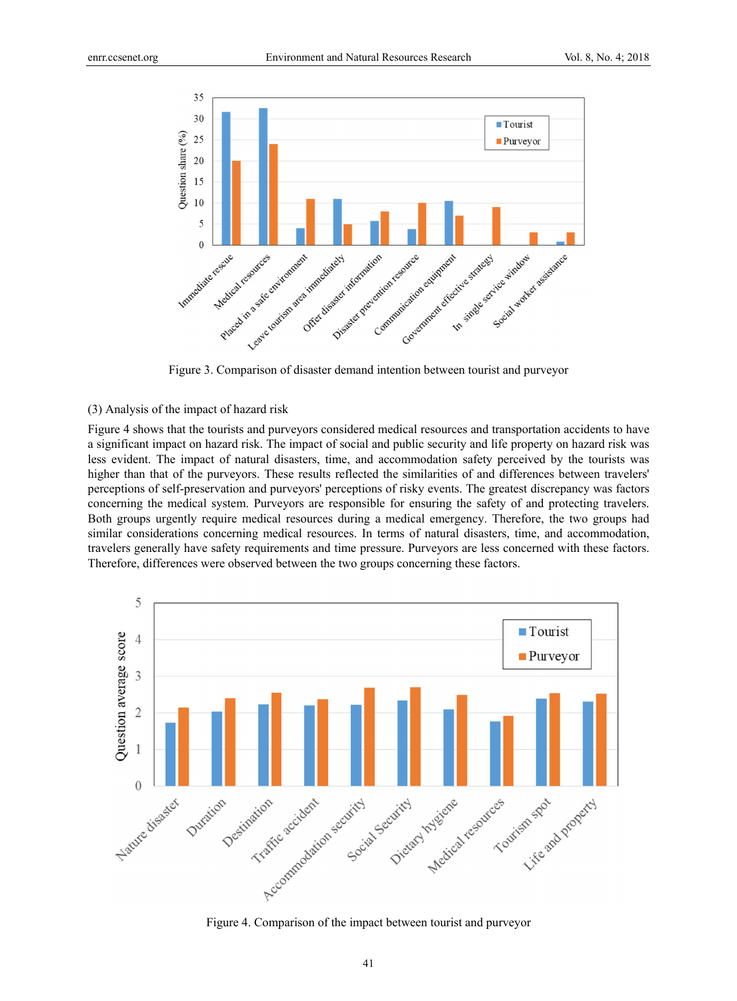

Figure 3. Comparison of disaster demand intention between tourist and purveyor

#### (3) Analysis of the impact of hazard risk

Figure 4 shows that the tourists and purveyors considered medical resources and transportation accidents to have a significant impact on hazard risk. The impact of social and public security and life property on hazard risk was less evident. The impact of natural disasters, time, and accommodation safety perceived by the tourists was higher than that of the purveyors. These results reflected the similarities of and differences between travelers' perceptions of self-preservation and purveyors' perceptions of risky events. The greatest discrepancy was factors concerning the medical system. Purveyors are responsible for ensuring the safety of and protecting travelers. Both groups urgently require medical resources during a medical emergency. Therefore, the two groups had similar considerations concerning medical resources. In terms of natural disasters, time, and accommodation, travelers generally have safety requirements and time pressure. Purveyors are less concerned with these factors. Therefore, differences were observed between the two groups concerning these factors.



Figure 4. Comparison of the impact between tourist and purveyor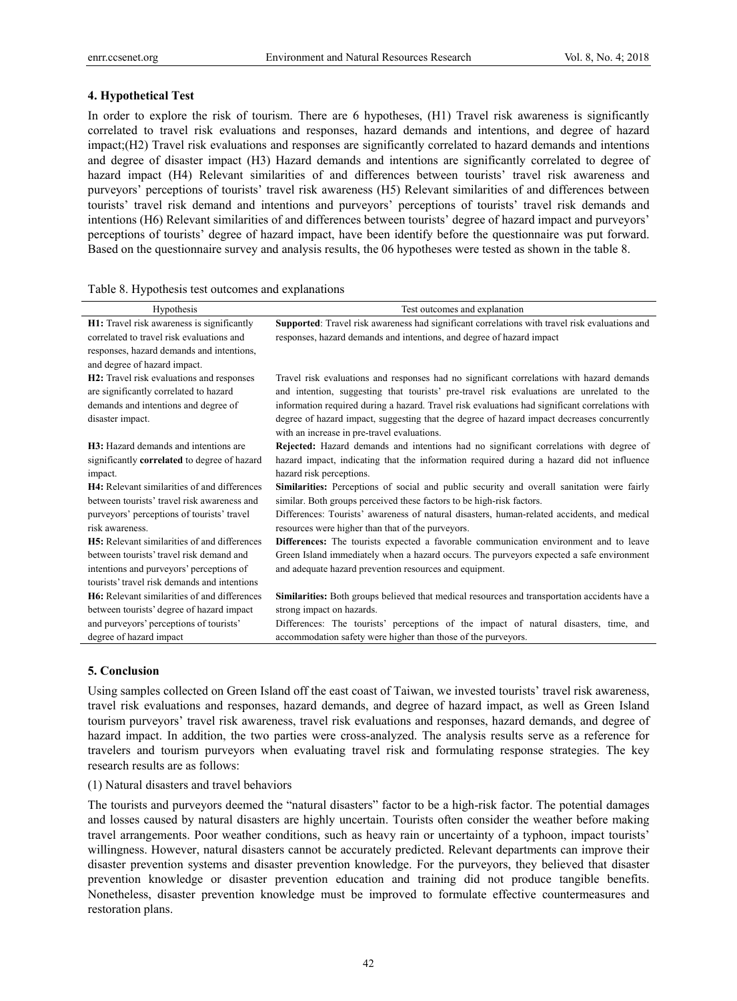## **4. Hypothetical Test**

In order to explore the risk of tourism. There are 6 hypotheses, (H1) Travel risk awareness is significantly correlated to travel risk evaluations and responses, hazard demands and intentions, and degree of hazard impact;(H2) Travel risk evaluations and responses are significantly correlated to hazard demands and intentions and degree of disaster impact (H3) Hazard demands and intentions are significantly correlated to degree of hazard impact (H4) Relevant similarities of and differences between tourists' travel risk awareness and purveyors' perceptions of tourists' travel risk awareness (H5) Relevant similarities of and differences between tourists' travel risk demand and intentions and purveyors' perceptions of tourists' travel risk demands and intentions (H6) Relevant similarities of and differences between tourists' degree of hazard impact and purveyors' perceptions of tourists' degree of hazard impact, have been identify before the questionnaire was put forward. Based on the questionnaire survey and analysis results, the 06 hypotheses were tested as shown in the table 8.

| Table 8. Hypothesis test outcomes and explanations |  |  |
|----------------------------------------------------|--|--|
|                                                    |  |  |

| Hypothesis                                                                                                                           | Test outcomes and explanation                                                                                                                                                                                                                                                             |
|--------------------------------------------------------------------------------------------------------------------------------------|-------------------------------------------------------------------------------------------------------------------------------------------------------------------------------------------------------------------------------------------------------------------------------------------|
| H1: Travel risk awareness is significantly<br>correlated to travel risk evaluations and<br>responses, hazard demands and intentions, | Supported: Travel risk awareness had significant correlations with travel risk evaluations and<br>responses, hazard demands and intentions, and degree of hazard impact                                                                                                                   |
| and degree of hazard impact.                                                                                                         |                                                                                                                                                                                                                                                                                           |
| H2: Travel risk evaluations and responses<br>are significantly correlated to hazard<br>demands and intentions and degree of          | Travel risk evaluations and responses had no significant correlations with hazard demands<br>and intention, suggesting that tourists' pre-travel risk evaluations are unrelated to the<br>information required during a hazard. Travel risk evaluations had significant correlations with |
| disaster impact.                                                                                                                     | degree of hazard impact, suggesting that the degree of hazard impact decreases concurrently<br>with an increase in pre-travel evaluations.                                                                                                                                                |
| <b>H3</b> : Hazard demands and intentions are                                                                                        | Rejected: Hazard demands and intentions had no significant correlations with degree of                                                                                                                                                                                                    |
| significantly correlated to degree of hazard<br>impact.                                                                              | hazard impact, indicating that the information required during a hazard did not influence<br>hazard risk perceptions.                                                                                                                                                                     |
| H4: Relevant similarities of and differences<br>between tourists' travel risk awareness and                                          | Similarities: Perceptions of social and public security and overall sanitation were fairly<br>similar. Both groups perceived these factors to be high-risk factors.                                                                                                                       |
| purveyors' perceptions of tourists' travel<br>risk awareness.                                                                        | Differences: Tourists' awareness of natural disasters, human-related accidents, and medical<br>resources were higher than that of the purveyors.                                                                                                                                          |
| <b>H5</b> : Relevant similarities of and differences                                                                                 | Differences: The tourists expected a favorable communication environment and to leave                                                                                                                                                                                                     |
| between tourists' travel risk demand and                                                                                             | Green Island immediately when a hazard occurs. The purveyors expected a safe environment                                                                                                                                                                                                  |
| intentions and purveyors' perceptions of                                                                                             | and adequate hazard prevention resources and equipment.                                                                                                                                                                                                                                   |
| tourists' travel risk demands and intentions                                                                                         |                                                                                                                                                                                                                                                                                           |
| <b>H6</b> : Relevant similarities of and differences                                                                                 | Similarities: Both groups believed that medical resources and transportation accidents have a                                                                                                                                                                                             |
| between tourists' degree of hazard impact                                                                                            | strong impact on hazards.                                                                                                                                                                                                                                                                 |
| and purveyors' perceptions of tourists'                                                                                              | Differences: The tourists' perceptions of the impact of natural disasters, time, and                                                                                                                                                                                                      |
| degree of hazard impact                                                                                                              | accommodation safety were higher than those of the purveyors.                                                                                                                                                                                                                             |

# **5. Conclusion**

Using samples collected on Green Island off the east coast of Taiwan, we invested tourists' travel risk awareness, travel risk evaluations and responses, hazard demands, and degree of hazard impact, as well as Green Island tourism purveyors' travel risk awareness, travel risk evaluations and responses, hazard demands, and degree of hazard impact. In addition, the two parties were cross-analyzed. The analysis results serve as a reference for travelers and tourism purveyors when evaluating travel risk and formulating response strategies. The key research results are as follows:

#### (1) Natural disasters and travel behaviors

The tourists and purveyors deemed the "natural disasters" factor to be a high-risk factor. The potential damages and losses caused by natural disasters are highly uncertain. Tourists often consider the weather before making travel arrangements. Poor weather conditions, such as heavy rain or uncertainty of a typhoon, impact tourists' willingness. However, natural disasters cannot be accurately predicted. Relevant departments can improve their disaster prevention systems and disaster prevention knowledge. For the purveyors, they believed that disaster prevention knowledge or disaster prevention education and training did not produce tangible benefits. Nonetheless, disaster prevention knowledge must be improved to formulate effective countermeasures and restoration plans.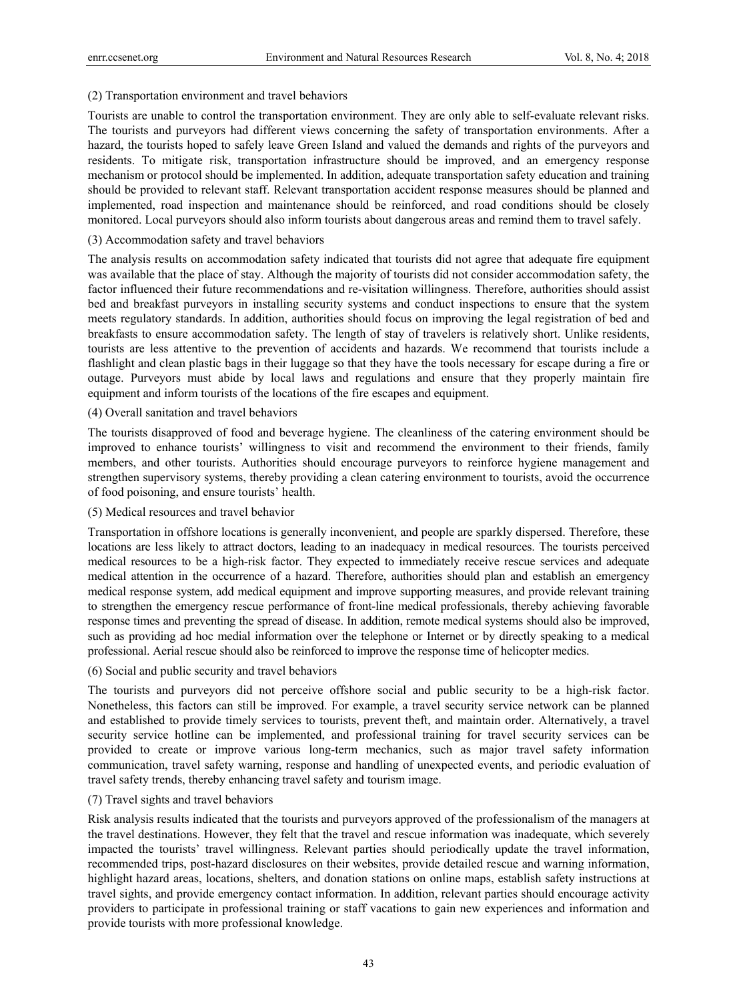## (2) Transportation environment and travel behaviors

Tourists are unable to control the transportation environment. They are only able to self-evaluate relevant risks. The tourists and purveyors had different views concerning the safety of transportation environments. After a hazard, the tourists hoped to safely leave Green Island and valued the demands and rights of the purveyors and residents. To mitigate risk, transportation infrastructure should be improved, and an emergency response mechanism or protocol should be implemented. In addition, adequate transportation safety education and training should be provided to relevant staff. Relevant transportation accident response measures should be planned and implemented, road inspection and maintenance should be reinforced, and road conditions should be closely monitored. Local purveyors should also inform tourists about dangerous areas and remind them to travel safely.

## (3) Accommodation safety and travel behaviors

The analysis results on accommodation safety indicated that tourists did not agree that adequate fire equipment was available that the place of stay. Although the majority of tourists did not consider accommodation safety, the factor influenced their future recommendations and re-visitation willingness. Therefore, authorities should assist bed and breakfast purveyors in installing security systems and conduct inspections to ensure that the system meets regulatory standards. In addition, authorities should focus on improving the legal registration of bed and breakfasts to ensure accommodation safety. The length of stay of travelers is relatively short. Unlike residents, tourists are less attentive to the prevention of accidents and hazards. We recommend that tourists include a flashlight and clean plastic bags in their luggage so that they have the tools necessary for escape during a fire or outage. Purveyors must abide by local laws and regulations and ensure that they properly maintain fire equipment and inform tourists of the locations of the fire escapes and equipment.

## (4) Overall sanitation and travel behaviors

The tourists disapproved of food and beverage hygiene. The cleanliness of the catering environment should be improved to enhance tourists' willingness to visit and recommend the environment to their friends, family members, and other tourists. Authorities should encourage purveyors to reinforce hygiene management and strengthen supervisory systems, thereby providing a clean catering environment to tourists, avoid the occurrence of food poisoning, and ensure tourists' health.

## (5) Medical resources and travel behavior

Transportation in offshore locations is generally inconvenient, and people are sparkly dispersed. Therefore, these locations are less likely to attract doctors, leading to an inadequacy in medical resources. The tourists perceived medical resources to be a high-risk factor. They expected to immediately receive rescue services and adequate medical attention in the occurrence of a hazard. Therefore, authorities should plan and establish an emergency medical response system, add medical equipment and improve supporting measures, and provide relevant training to strengthen the emergency rescue performance of front-line medical professionals, thereby achieving favorable response times and preventing the spread of disease. In addition, remote medical systems should also be improved, such as providing ad hoc medial information over the telephone or Internet or by directly speaking to a medical professional. Aerial rescue should also be reinforced to improve the response time of helicopter medics.

## (6) Social and public security and travel behaviors

The tourists and purveyors did not perceive offshore social and public security to be a high-risk factor. Nonetheless, this factors can still be improved. For example, a travel security service network can be planned and established to provide timely services to tourists, prevent theft, and maintain order. Alternatively, a travel security service hotline can be implemented, and professional training for travel security services can be provided to create or improve various long-term mechanics, such as major travel safety information communication, travel safety warning, response and handling of unexpected events, and periodic evaluation of travel safety trends, thereby enhancing travel safety and tourism image.

## (7) Travel sights and travel behaviors

Risk analysis results indicated that the tourists and purveyors approved of the professionalism of the managers at the travel destinations. However, they felt that the travel and rescue information was inadequate, which severely impacted the tourists' travel willingness. Relevant parties should periodically update the travel information, recommended trips, post-hazard disclosures on their websites, provide detailed rescue and warning information, highlight hazard areas, locations, shelters, and donation stations on online maps, establish safety instructions at travel sights, and provide emergency contact information. In addition, relevant parties should encourage activity providers to participate in professional training or staff vacations to gain new experiences and information and provide tourists with more professional knowledge.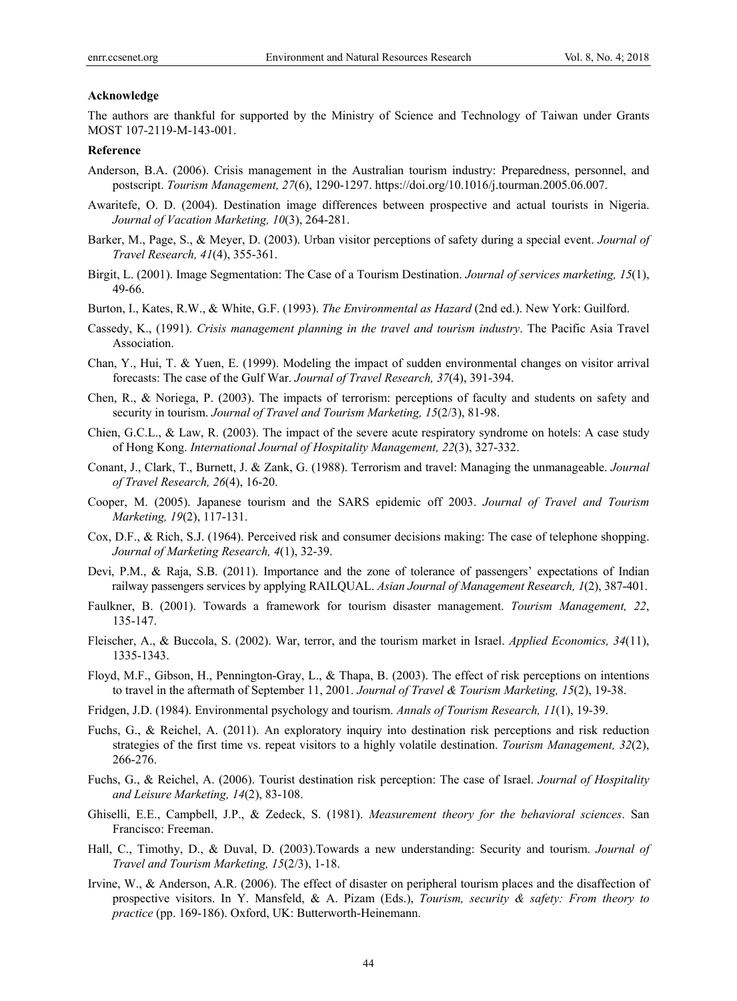#### **Acknowledge**

The authors are thankful for supported by the Ministry of Science and Technology of Taiwan under Grants MOST 107-2119-M-143-001.

## **Reference**

- Anderson, B.A. (2006). Crisis management in the Australian tourism industry: Preparedness, personnel, and postscript. *Tourism Management, 27*(6), 1290-1297. https://doi.org/10.1016/j.tourman.2005.06.007.
- Awaritefe, O. D. (2004). Destination image differences between prospective and actual tourists in Nigeria. *Journal of Vacation Marketing, 10*(3), 264-281.
- Barker, M., Page, S., & Meyer, D. (2003). Urban visitor perceptions of safety during a special event. *Journal of Travel Research, 41*(4), 355-361.
- Birgit, L. (2001). Image Segmentation: The Case of a Tourism Destination. *Journal of services marketing, 15*(1), 49-66.
- Burton, I., Kates, R.W., & White, G.F. (1993). *The Environmental as Hazard* (2nd ed.). New York: Guilford.
- Cassedy, K., (1991). *Crisis management planning in the travel and tourism industry*. The Pacific Asia Travel Association.
- Chan, Y., Hui, T. & Yuen, E. (1999). Modeling the impact of sudden environmental changes on visitor arrival forecasts: The case of the Gulf War. *Journal of Travel Research, 37*(4), 391-394.
- Chen, R., & Noriega, P. (2003). The impacts of terrorism: perceptions of faculty and students on safety and security in tourism. *Journal of Travel and Tourism Marketing, 15*(2/3), 81-98.
- Chien, G.C.L., & Law, R. (2003). The impact of the severe acute respiratory syndrome on hotels: A case study of Hong Kong. *International Journal of Hospitality Management, 22*(3), 327-332.
- Conant, J., Clark, T., Burnett, J. & Zank, G. (1988). Terrorism and travel: Managing the unmanageable. *Journal of Travel Research, 26*(4), 16-20.
- Cooper, M. (2005). Japanese tourism and the SARS epidemic off 2003. *Journal of Travel and Tourism Marketing, 19*(2), 117-131.
- Cox, D.F., & Rich, S.J. (1964). Perceived risk and consumer decisions making: The case of telephone shopping. *Journal of Marketing Research, 4*(1), 32-39.
- Devi, P.M., & Raja, S.B. (2011). Importance and the zone of tolerance of passengers' expectations of Indian railway passengers services by applying RAILQUAL. *Asian Journal of Management Research, 1*(2), 387-401.
- Faulkner, B. (2001). Towards a framework for tourism disaster management. *Tourism Management, 22*, 135-147.
- Fleischer, A., & Buccola, S. (2002). War, terror, and the tourism market in Israel. *Applied Economics, 34*(11), 1335-1343.
- Floyd, M.F., Gibson, H., Pennington-Gray, L., & Thapa, B. (2003). The effect of risk perceptions on intentions to travel in the aftermath of September 11, 2001. *Journal of Travel & Tourism Marketing, 15*(2), 19-38.
- Fridgen, J.D. (1984). Environmental psychology and tourism. *Annals of Tourism Research, 11*(1), 19-39.
- Fuchs, G., & Reichel, A. (2011). An exploratory inquiry into destination risk perceptions and risk reduction strategies of the first time vs. repeat visitors to a highly volatile destination. *Tourism Management, 32*(2), 266-276.
- Fuchs, G., & Reichel, A. (2006). Tourist destination risk perception: The case of Israel. *Journal of Hospitality and Leisure Marketing, 14*(2), 83-108.
- Ghiselli, E.E., Campbell, J.P., & Zedeck, S. (1981). *Measurement theory for the behavioral sciences*. San Francisco: Freeman.
- Hall, C., Timothy, D., & Duval, D. (2003).Towards a new understanding: Security and tourism. *Journal of Travel and Tourism Marketing, 15*(2/3), 1-18.
- Irvine, W., & Anderson, A.R. (2006). The effect of disaster on peripheral tourism places and the disaffection of prospective visitors. In Y. Mansfeld, & A. Pizam (Eds.), *Tourism, security & safety: From theory to practice* (pp. 169-186). Oxford, UK: Butterworth-Heinemann.